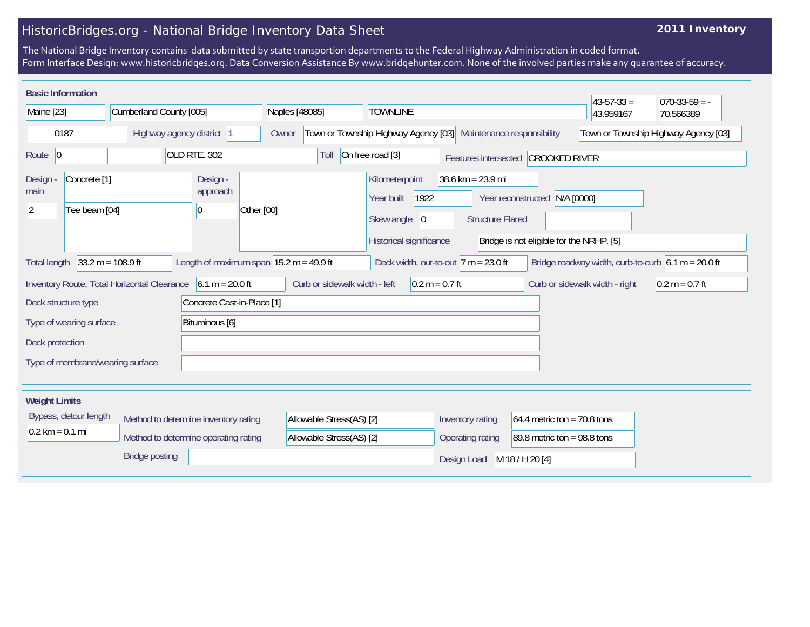## HistoricBridges.org - National Bridge Inventory Data Sheet

## **2011 Inventory**

The National Bridge Inventory contains data submitted by state transportion departments to the Federal Highway Administration in coded format. Form Interface Design: www.historicbridges.org. Data Conversion Assistance By www.bridgehunter.com. None of the involved parties make any guarantee of accuracy.

| <b>Basic Information</b>                                                                                                                                                                                    |                                          |                         |                                                                              |                |                                                                    |                                                                                      |                                                                |                                                                           | $43 - 57 - 33 =$ | $070-33-59 = -$ |
|-------------------------------------------------------------------------------------------------------------------------------------------------------------------------------------------------------------|------------------------------------------|-------------------------|------------------------------------------------------------------------------|----------------|--------------------------------------------------------------------|--------------------------------------------------------------------------------------|----------------------------------------------------------------|---------------------------------------------------------------------------|------------------|-----------------|
| Maine [23]                                                                                                                                                                                                  |                                          | Cumberland County [005] |                                                                              | Naples [48085] |                                                                    | <b>TOWNLINE</b>                                                                      |                                                                |                                                                           | 43.959167        | 70.566389       |
| 0187                                                                                                                                                                                                        |                                          |                         | Highway agency district  1                                                   | Owner          | Town or Township Highway Agency [03]<br>Maintenance responsibility |                                                                                      |                                                                | Town or Township Highway Agency [03]                                      |                  |                 |
| Route 0                                                                                                                                                                                                     |                                          |                         | OLD RTE. 302                                                                 |                | Toll                                                               | On free road [3]                                                                     |                                                                | Features intersected CROOKED RIVER                                        |                  |                 |
| Design<br>main<br>12                                                                                                                                                                                        | Concrete <sup>[1]</sup><br>Tee beam [04] |                         | Design -<br>approach<br>0                                                    | Other [00]     |                                                                    | Kilometerpoint<br>Year built<br>1922<br>Skew angle<br> 0 <br>Historical significance | $38.6 \text{ km} = 23.9 \text{ mi}$<br><b>Structure Flared</b> | Year reconstructed N/A [0000]<br>Bridge is not eligible for the NRHP. [5] |                  |                 |
| $33.2 m = 108.9 ft$<br>Length of maximum span $ 15.2 \text{ m} = 49.9 \text{ ft} $<br>Deck width, out-to-out $7 m = 23.0 ft$<br>Bridge roadway width, curb-to-curb $6.1 m = 20.0 ft$<br><b>Total length</b> |                                          |                         |                                                                              |                |                                                                    |                                                                                      |                                                                |                                                                           |                  |                 |
| $6.1 m = 20.0 ft$<br>Inventory Route, Total Horizontal Clearance<br>Curb or sidewalk width - left<br>$0.2 m = 0.7 ft$<br>Curb or sidewalk width - right                                                     |                                          |                         |                                                                              |                | $0.2 m = 0.7 ft$                                                   |                                                                                      |                                                                |                                                                           |                  |                 |
| Concrete Cast-in-Place [1]<br>Deck structure type                                                                                                                                                           |                                          |                         |                                                                              |                |                                                                    |                                                                                      |                                                                |                                                                           |                  |                 |
| Type of wearing surface<br>Bituminous [6]                                                                                                                                                                   |                                          |                         |                                                                              |                |                                                                    |                                                                                      |                                                                |                                                                           |                  |                 |
| Deck protection                                                                                                                                                                                             |                                          |                         |                                                                              |                |                                                                    |                                                                                      |                                                                |                                                                           |                  |                 |
| Type of membrane/wearing surface                                                                                                                                                                            |                                          |                         |                                                                              |                |                                                                    |                                                                                      |                                                                |                                                                           |                  |                 |
| <b>Weight Limits</b>                                                                                                                                                                                        |                                          |                         |                                                                              |                |                                                                    |                                                                                      |                                                                |                                                                           |                  |                 |
| $0.2 \text{ km} = 0.1 \text{ mi}$                                                                                                                                                                           | Bypass, detour length                    |                         | Method to determine inventory rating<br>Method to determine operating rating |                | Allowable Stress(AS) [2]<br>Allowable Stress(AS) [2]               |                                                                                      | Inventory rating<br>Operating rating                           | 64.4 metric ton = 70.8 tons<br>89.8 metric ton = 98.8 tons                |                  |                 |
|                                                                                                                                                                                                             |                                          | <b>Bridge posting</b>   |                                                                              |                |                                                                    |                                                                                      | Design Load                                                    | M 18 / H 20 [4]                                                           |                  |                 |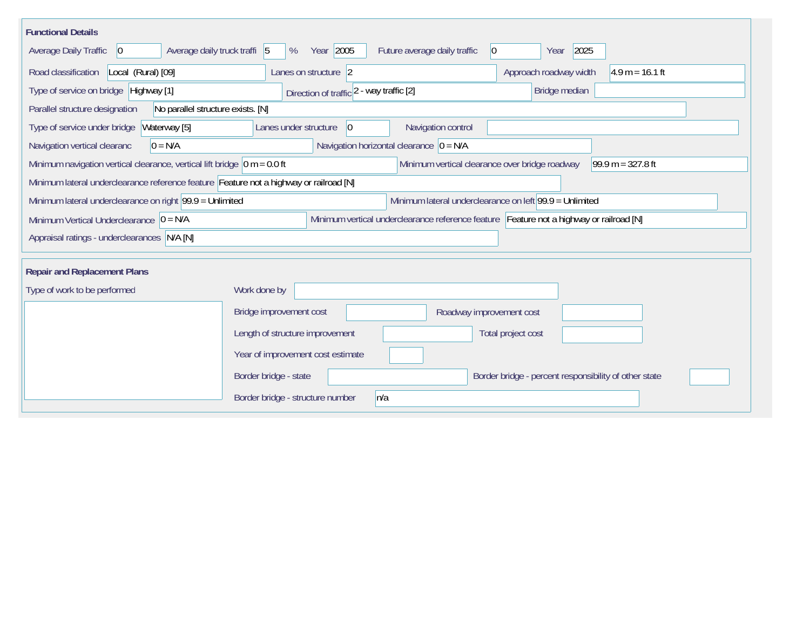| <b>Functional Details</b>                                                              |                                                                                                                       |                                                |                                                       |                     |  |  |  |
|----------------------------------------------------------------------------------------|-----------------------------------------------------------------------------------------------------------------------|------------------------------------------------|-------------------------------------------------------|---------------------|--|--|--|
| Average daily truck traffi 5<br><b>Average Daily Traffic</b><br>$ 0\rangle$            | Year 2005<br>%                                                                                                        | Future average daily traffic<br>$ 0\rangle$    | 2025<br>Year                                          |                     |  |  |  |
| Road classification<br>Local (Rural) [09]                                              | Lanes on structure 2                                                                                                  |                                                | Approach roadway width                                | $4.9 m = 16.1 ft$   |  |  |  |
| Type of service on bridge Highway [1]                                                  | Direction of traffic 2 - way traffic [2]                                                                              |                                                | Bridge median                                         |                     |  |  |  |
| Parallel structure designation<br>No parallel structure exists. [N]                    |                                                                                                                       |                                                |                                                       |                     |  |  |  |
| Type of service under bridge<br>Waterway [5]                                           | 0 <br>Lanes under structure                                                                                           | Navigation control                             |                                                       |                     |  |  |  |
| $0 = N/A$<br>Navigation vertical clearanc                                              |                                                                                                                       | Navigation horizontal clearance $ 0 = N/A $    |                                                       |                     |  |  |  |
| Minimum navigation vertical clearance, vertical lift bridge $\vert$ 0 m = 0.0 ft       |                                                                                                                       | Minimum vertical clearance over bridge roadway |                                                       | 99.9 m = $327.8$ ft |  |  |  |
| Minimum lateral underclearance reference feature Feature not a highway or railroad [N] |                                                                                                                       |                                                |                                                       |                     |  |  |  |
|                                                                                        | Minimum lateral underclearance on left $99.9 =$ Unlimited<br>Minimum lateral underclearance on right 99.9 = Unlimited |                                                |                                                       |                     |  |  |  |
| Minimum Vertical Underclearance $ 0 = N/A$                                             | Minimum vertical underclearance reference feature Feature not a highway or railroad [N]                               |                                                |                                                       |                     |  |  |  |
| Appraisal ratings - underclearances N/A [N]                                            |                                                                                                                       |                                                |                                                       |                     |  |  |  |
|                                                                                        |                                                                                                                       |                                                |                                                       |                     |  |  |  |
| <b>Repair and Replacement Plans</b>                                                    |                                                                                                                       |                                                |                                                       |                     |  |  |  |
| Type of work to be performed                                                           | Work done by                                                                                                          |                                                |                                                       |                     |  |  |  |
|                                                                                        | Bridge improvement cost                                                                                               | Roadway improvement cost                       |                                                       |                     |  |  |  |
|                                                                                        | Length of structure improvement                                                                                       |                                                | Total project cost                                    |                     |  |  |  |
|                                                                                        | Year of improvement cost estimate                                                                                     |                                                |                                                       |                     |  |  |  |
|                                                                                        | Border bridge - state                                                                                                 |                                                | Border bridge - percent responsibility of other state |                     |  |  |  |
|                                                                                        | Border bridge - structure number                                                                                      | n/a                                            |                                                       |                     |  |  |  |